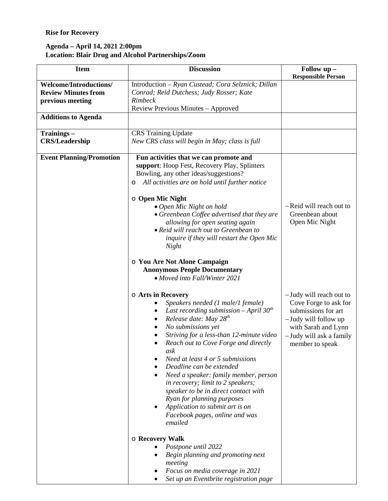## **Rise for Recovery**

## **Agenda – April 14, 2021 2:00pm Location: Blair Drug and Alcohol Partnerships/Zoom**

| <b>Item</b>                                                                     | <b>Discussion</b>                                                                                                                                                                                                                                                                                                                                                                                                                                                                                                                                                                                                                     | Follow up -<br><b>Responsible Person</b>                                                                                                                             |
|---------------------------------------------------------------------------------|---------------------------------------------------------------------------------------------------------------------------------------------------------------------------------------------------------------------------------------------------------------------------------------------------------------------------------------------------------------------------------------------------------------------------------------------------------------------------------------------------------------------------------------------------------------------------------------------------------------------------------------|----------------------------------------------------------------------------------------------------------------------------------------------------------------------|
| <b>Welcome/Introductions/</b><br><b>Review Minutes from</b><br>previous meeting | Introduction - Ryan Custead; Cora Selznick; Dillan<br>Conrad; Reid Dutchess; Judy Rosser; Kate<br><b>Rimbeck</b><br>Review Previous Minutes - Approved                                                                                                                                                                                                                                                                                                                                                                                                                                                                                |                                                                                                                                                                      |
| <b>Additions to Agenda</b>                                                      |                                                                                                                                                                                                                                                                                                                                                                                                                                                                                                                                                                                                                                       |                                                                                                                                                                      |
| Trainings-<br><b>CRS/Leadership</b>                                             | <b>CRS</b> Training Update<br>New CRS class will begin in May; class is full                                                                                                                                                                                                                                                                                                                                                                                                                                                                                                                                                          |                                                                                                                                                                      |
| <b>Event Planning/Promotion</b>                                                 | Fun activities that we can promote and<br>support: Hoop Fest, Recovery Play, Splinters<br>Bowling, any other ideas/suggestions?<br>All activities are on hold until further notice<br>O<br><b>O</b> Open Mic Night<br>• Open Mic Night on hold<br>• Greenbean Coffee advertised that they are<br>allowing for open seating again<br>• Reid will reach out to Greenbean to<br>inquire if they will restart the Open Mic<br>Night<br>O You Are Not Alone Campaign<br><b>Anonymous People Documentary</b><br>• Moved into Fall/Winter 2021                                                                                               | -Reid will reach out to<br>Greenbean about<br>Open Mic Night                                                                                                         |
|                                                                                 | o Arts in Recovery<br>Speakers needed (1 male/1 female)<br>Last recording submission $-April 30th$<br>Release date: May $28^{th}$<br>No submissions yet<br>Striving for a less-than 12-minute video<br>Reach out to Cove Forge and directly<br>ask<br>Need at least 4 or 5 submissions<br>Deadline can be extended<br>Need a speaker: family member, person<br>in recovery; limit to 2 speakers;<br>speaker to be in direct contact with<br>Ryan for planning purposes<br>Application to submit art is on<br>Facebook pages, online and was<br>emailed<br>o Recovery Walk<br>Postpone until 2022<br>Begin planning and promoting next | -Judy will reach out to<br>Cove Forge to ask for<br>submissions for art<br>-Judy will follow up<br>with Sarah and Lynn<br>-Judy will ask a family<br>member to speak |
|                                                                                 | meeting<br>Focus on media coverage in 2021<br>Set up an Eventbrite registration page                                                                                                                                                                                                                                                                                                                                                                                                                                                                                                                                                  |                                                                                                                                                                      |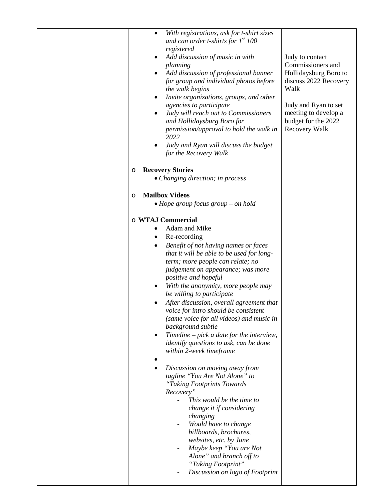| With registrations, ask for t-shirt sizes<br>$\bullet$<br>and can order t-shirts for $1^{st}$ 100<br>registered<br>Add discussion of music in with<br>planning<br>Add discussion of professional banner<br>for group and individual photos before<br>the walk begins<br>Invite organizations, groups, and other<br>agencies to participate<br>Judy will reach out to Commissioners<br>and Hollidaysburg Boro for<br>permission/approval to hold the walk in<br>2022<br>Judy and Ryan will discuss the budget<br>for the Recovery Walk                                                                                                                                                                                                                                                                                                                                                                                                                                                                  | Judy to contact<br>Commissioners and<br>Hollidaysburg Boro to<br>discuss 2022 Recovery<br>Walk<br>Judy and Ryan to set<br>meeting to develop a<br>budget for the 2022<br><b>Recovery Walk</b> |
|--------------------------------------------------------------------------------------------------------------------------------------------------------------------------------------------------------------------------------------------------------------------------------------------------------------------------------------------------------------------------------------------------------------------------------------------------------------------------------------------------------------------------------------------------------------------------------------------------------------------------------------------------------------------------------------------------------------------------------------------------------------------------------------------------------------------------------------------------------------------------------------------------------------------------------------------------------------------------------------------------------|-----------------------------------------------------------------------------------------------------------------------------------------------------------------------------------------------|
| <b>Recovery Stories</b>                                                                                                                                                                                                                                                                                                                                                                                                                                                                                                                                                                                                                                                                                                                                                                                                                                                                                                                                                                                |                                                                                                                                                                                               |
| O<br>• Changing direction; in process                                                                                                                                                                                                                                                                                                                                                                                                                                                                                                                                                                                                                                                                                                                                                                                                                                                                                                                                                                  |                                                                                                                                                                                               |
|                                                                                                                                                                                                                                                                                                                                                                                                                                                                                                                                                                                                                                                                                                                                                                                                                                                                                                                                                                                                        |                                                                                                                                                                                               |
| <b>Mailbox Videos</b><br>O                                                                                                                                                                                                                                                                                                                                                                                                                                                                                                                                                                                                                                                                                                                                                                                                                                                                                                                                                                             |                                                                                                                                                                                               |
| $\bullet$ Hope group focus group – on hold                                                                                                                                                                                                                                                                                                                                                                                                                                                                                                                                                                                                                                                                                                                                                                                                                                                                                                                                                             |                                                                                                                                                                                               |
| o WTAJ Commercial<br>Adam and Mike<br>Re-recording<br>Benefit of not having names or faces<br>that it will be able to be used for long-<br>term; more people can relate; no<br>judgement on appearance; was more<br>positive and hopeful<br>With the anonymity, more people may<br>be willing to participate<br>After discussion, overall agreement that<br>voice for intro should be consistent<br>(same voice for all videos) and music in<br>background subtle<br>Timeline - pick a date for the interview,<br><i>identify questions to ask, can be done</i><br>within 2-week timeframe<br>Discussion on moving away from<br>tagline "You Are Not Alone" to<br>"Taking Footprints Towards<br>Recovery"<br>This would be the time to<br>change it if considering<br>changing<br>Would have to change<br>$\overline{\phantom{a}}$<br>billboards, brochures,<br>websites, etc. by June<br>Maybe keep "You are Not<br>Alone" and branch off to<br>"Taking Footprint"<br>Discussion on logo of Footprint |                                                                                                                                                                                               |